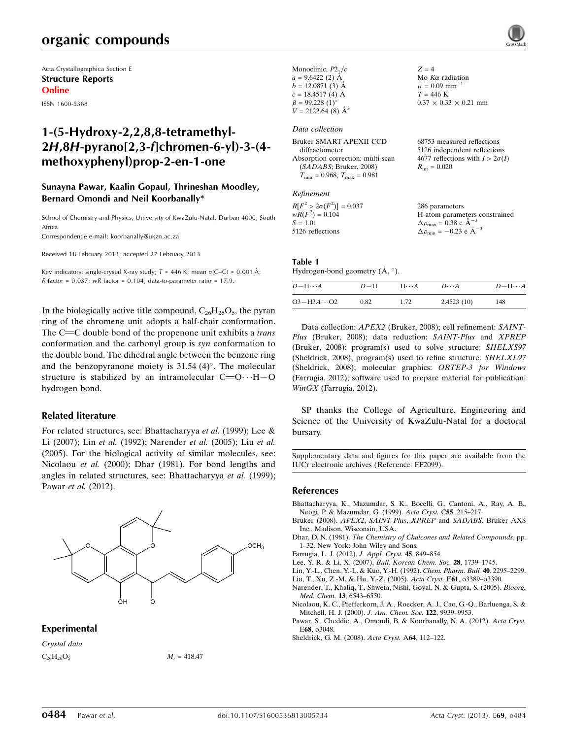# organic compounds

Acta Crystallographica Section E Structure Reports Online

ISSN 1600-5368

## 1-(5-Hydroxy-2,2,8,8-tetramethyl-2H,8H-pyrano[2,3-f]chromen-6-yl)-3-(4 methoxyphenyl)prop-2-en-1-one

### Sunayna Pawar, Kaalin Gopaul, Thrineshan Moodley, Bernard Omondi and Neil Koorbanally\*

School of Chemistry and Physics, University of KwaZulu-Natal, Durban 4000, South Africa

Correspondence e-mail: [koorbanally@ukzn.ac.za](https://scripts.iucr.org/cgi-bin/cr.cgi?rm=pdfbb&cnor=ff2099&bbid=BB11)

Received 18 February 2013; accepted 27 February 2013

Key indicators: single-crystal X-ray study;  $T = 446$  K; mean  $\sigma$ (C–C) = 0.001 Å; R factor =  $0.037$ ; wR factor =  $0.104$ ; data-to-parameter ratio = 17.9.

In the biologically active title compound,  $C_{26}H_{26}O_5$ , the pyran ring of the chromene unit adopts a half-chair conformation. The  $C = C$  double bond of the propenone unit exhibits a *trans* conformation and the carbonyl group is syn conformation to the double bond. The dihedral angle between the benzene ring and the benzopyranone moiety is  $31.54$  (4)°. The molecular structure is stabilized by an intramolecular  $C = 0 \cdots H - 0$ hydrogen bond.

### Related literature

For related structures, see: Bhattacharyya et al. (1999); Lee & Li (2007); Lin et al. (1992); Narender et al. (2005); Liu et al. (2005). For the biological activity of similar molecules, see: Nicolaou et al. (2000); Dhar (1981). For bond lengths and angles in related structures, see: Bhattacharyya et al. (1999); Pawar et al. (2012).



### Experimental

Crystal data

 $C_{26}H_{26}O_5$   $M_r = 418.47$ 

| Monoclinic, $P2_1/c$                    | $Z = 4$                                |
|-----------------------------------------|----------------------------------------|
| $a = 9.6422$ (2) A                      | Mo $K\alpha$ radiation                 |
| $b = 12.0871(3)$ Å                      | $\mu = 0.09$ mm <sup>-1</sup>          |
| $c = 18.4517(4)$ Å                      | $T = 446$ K                            |
| $\beta = 99.228(1)$ °                   | $0.37 \times 0.33 \times 0.21$ mm      |
| $V = 2122.64(8)$ $\AA^3$                |                                        |
|                                         |                                        |
| Data collection                         |                                        |
| Bruker SMART APEXII CCD                 | 68753 measured reflections             |
| diffractometer                          | 5126 independent reflections           |
| Absorption correction: multi-scan       | 4677 reflections with $I > 2\sigma(I)$ |
| (SADABS; Bruker, 2008)                  | $R_{\rm int} = 0.020$                  |
| $T_{\min} = 0.968$ , $T_{\max} = 0.981$ |                                        |
|                                         |                                        |
| Refinement                              |                                        |
| $R[F^2 > 2\sigma(F^2)] = 0.037$         | 286 parameters                         |
|                                         |                                        |

| $R[F^2 > 2\sigma(F^2)] = 0.037$ | 286 parameters                                     |
|---------------------------------|----------------------------------------------------|
| $wR(F^2) = 0.104$               | H-atom parameters constrained                      |
| $S = 1.01$                      | $\Delta \rho_{\text{max}} = 0.38 \text{ e A}^{-3}$ |
| 5126 reflections                | $\Delta \rho_{\rm min} = -0.23$ e $\rm \AA^{-3}$   |

### Table 1

Hydrogen-bond geometry  $(\AA, \degree)$ .

| $D - H \cdots A$     | $D-H$ | $H\cdots A$ | $D\cdots A$ | $D-H\cdots A$ |
|----------------------|-------|-------------|-------------|---------------|
| $O3 - H3A \cdots O2$ | 0.82  | 1.72        | 2.4523(10)  | 148           |

Data collection: APEX2 (Bruker, 2008); cell refinement: SAINT-Plus (Bruker, 2008); data reduction: SAINT-Plus and XPREP (Bruker, 2008); program(s) used to solve structure: SHELXS97 (Sheldrick, 2008); program(s) used to refine structure: SHELXL97 (Sheldrick, 2008); molecular graphics: ORTEP-3 for Windows (Farrugia, 2012); software used to prepare material for publication: WinGX (Farrugia, 2012).

SP thanks the College of Agriculture, Engineering and Science of the University of KwaZulu-Natal for a doctoral bursary.

Supplementary data and figures for this paper are available from the IUCr electronic archives (Reference: FF2099).

### References

[Bhattacharyya, K., Mazumdar, S. K., Bocelli, G., Cantoni, A., Ray, A. B.,](https://scripts.iucr.org/cgi-bin/cr.cgi?rm=pdfbb&cnor=ff2099&bbid=BB1) [Neogi, P. & Mazumdar, G. \(1999\).](https://scripts.iucr.org/cgi-bin/cr.cgi?rm=pdfbb&cnor=ff2099&bbid=BB1) Acta Cryst. C55, 215–217.

- [Bruker \(2008\).](https://scripts.iucr.org/cgi-bin/cr.cgi?rm=pdfbb&cnor=ff2099&bbid=BB2) APEX2, SAINT-Plus, XPREP and SADABS. Bruker AXS [Inc., Madison, Wisconsin, USA.](https://scripts.iucr.org/cgi-bin/cr.cgi?rm=pdfbb&cnor=ff2099&bbid=BB2)
- Dhar, D. N. (1981). [The Chemistry of Chalcones and Related Compounds](https://scripts.iucr.org/cgi-bin/cr.cgi?rm=pdfbb&cnor=ff2099&bbid=BB3), pp. [1–32. New York: John Wiley and Sons.](https://scripts.iucr.org/cgi-bin/cr.cgi?rm=pdfbb&cnor=ff2099&bbid=BB3)
- [Farrugia, L. J. \(2012\).](https://scripts.iucr.org/cgi-bin/cr.cgi?rm=pdfbb&cnor=ff2099&bbid=BB4) J. Appl. Cryst. 45, 849–854.
- [Lee, Y. R. & Li, X. \(2007\).](https://scripts.iucr.org/cgi-bin/cr.cgi?rm=pdfbb&cnor=ff2099&bbid=BB5) Bull. Korean Chem. Soc. 28, 1739–1745.
- [Lin, Y.-L., Chen, Y.-L. & Kuo, Y.-H. \(1992\).](https://scripts.iucr.org/cgi-bin/cr.cgi?rm=pdfbb&cnor=ff2099&bbid=BB6) Chem. Pharm. Bull. 40, 2295–2299.
- [Liu, T., Xu, Z.-M. & Hu, Y.-Z. \(2005\).](https://scripts.iucr.org/cgi-bin/cr.cgi?rm=pdfbb&cnor=ff2099&bbid=BB7) Acta Cryst. E61, o3389–o3390.
- [Narender, T., Khaliq, T., Shweta, Nishi, Goyal, N. & Gupta, S. \(2005\).](https://scripts.iucr.org/cgi-bin/cr.cgi?rm=pdfbb&cnor=ff2099&bbid=BB8) Bioorg. Med. Chem. 13[, 6543–6550.](https://scripts.iucr.org/cgi-bin/cr.cgi?rm=pdfbb&cnor=ff2099&bbid=BB8)
- [Nicolaou, K. C., Pfefferkorn, J. A., Roecker, A. J., Cao, G.-Q., Barluenga, S. &](https://scripts.iucr.org/cgi-bin/cr.cgi?rm=pdfbb&cnor=ff2099&bbid=BB9) [Mitchell, H. J. \(2000\).](https://scripts.iucr.org/cgi-bin/cr.cgi?rm=pdfbb&cnor=ff2099&bbid=BB9) J. Am. Chem. Soc. 122, 9939–9953.
- [Pawar, S., Cheddie, A., Omondi, B. & Koorbanally, N. A. \(2012\).](https://scripts.iucr.org/cgi-bin/cr.cgi?rm=pdfbb&cnor=ff2099&bbid=BB10) Acta Cryst. E68[, o3048.](https://scripts.iucr.org/cgi-bin/cr.cgi?rm=pdfbb&cnor=ff2099&bbid=BB10)
- [Sheldrick, G. M. \(2008\).](https://scripts.iucr.org/cgi-bin/cr.cgi?rm=pdfbb&cnor=ff2099&bbid=BB11) Acta Cryst. A64, 112–122.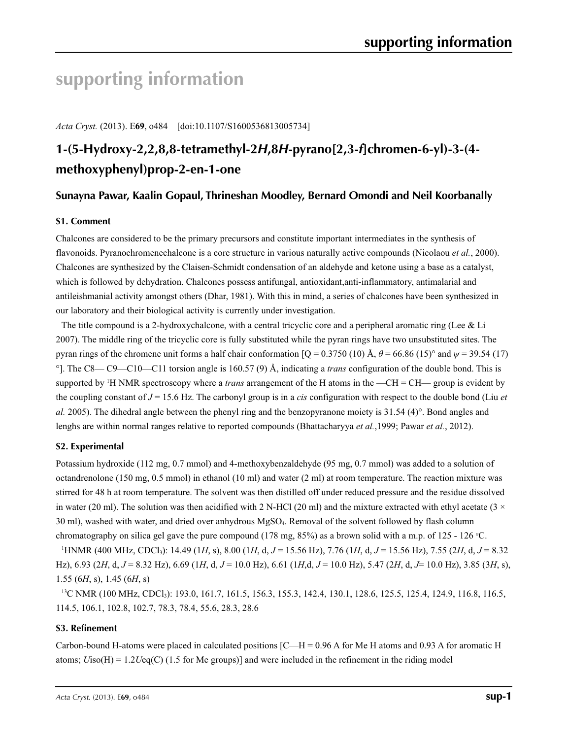# **supporting information**

*Acta Cryst.* (2013). E**69**, o484 [doi:10.1107/S1600536813005734]

# **1-(5-Hydroxy-2,2,8,8-tetramethyl-2***H***,8***H***-pyrano[2,3-***f***]chromen-6-yl)-3-(4 methoxyphenyl)prop-2-en-1-one**

### **Sunayna Pawar, Kaalin Gopaul, Thrineshan Moodley, Bernard Omondi and Neil Koorbanally**

### **S1. Comment**

Chalcones are considered to be the primary precursors and constitute important intermediates in the synthesis of flavonoids. Pyranochromenechalcone is a core structure in various naturally active compounds (Nicolaou *et al.*, 2000). Chalcones are synthesized by the Claisen-Schmidt condensation of an aldehyde and ketone using a base as a catalyst, which is followed by dehydration. Chalcones possess antifungal, antioxidant,anti-inflammatory, antimalarial and antileishmanial activity amongst others (Dhar, 1981). With this in mind, a series of chalcones have been synthesized in our laboratory and their biological activity is currently under investigation.

The title compound is a 2-hydroxychalcone, with a central tricyclic core and a peripheral aromatic ring (Lee & Li 2007). The middle ring of the tricyclic core is fully substituted while the pyran rings have two unsubstituted sites. The pyran rings of the chromene unit forms a half chair conformation  $[Q = 0.3750 (10) \text{ Å}, \theta = 66.86 (15)^\circ$  and  $\psi = 39.54 (17)$ °]. The C8— C9—C10—C11 torsion angle is 160.57 (9) Å, indicating a *trans* configuration of the double bond. This is supported by <sup>1</sup>H NMR spectroscopy where a *trans* arrangement of the H atoms in the —CH = CH— group is evident by the coupling constant of *J* = 15.6 Hz. The carbonyl group is in a *cis* configuration with respect to the double bond (Liu *et al.* 2005). The dihedral angle between the phenyl ring and the benzopyranone moiety is 31.54 (4)°. Bond angles and lenghs are within normal ranges relative to reported compounds (Bhattacharyya *et al.*,1999; Pawar *et al.*, 2012).

### **S2. Experimental**

Potassium hydroxide (112 mg, 0.7 mmol) and 4-methoxybenzaldehyde (95 mg, 0.7 mmol) was added to a solution of octandrenolone (150 mg, 0.5 mmol) in ethanol (10 ml) and water (2 ml) at room temperature. The reaction mixture was stirred for 48 h at room temperature. The solvent was then distilled off under reduced pressure and the residue dissolved in water (20 ml). The solution was then acidified with 2 N-HCl (20 ml) and the mixture extracted with ethyl acetate (3  $\times$ 30 ml), washed with water, and dried over anhydrous MgSO4. Removal of the solvent followed by flash column chromatography on silica gel gave the pure compound (178 mg, 85%) as a brown solid with a m.p. of 125 - 126 *<sup>o</sup>* C.

1 HNMR (400 MHz, CDCl3): 14.49 (1*H*, s), 8.00 (1*H*, d, *J* = 15.56 Hz), 7.76 (1*H*, d, *J* = 15.56 Hz), 7.55 (2*H*, d, *J* = 8.32 Hz), 6.93 (2*H*, d, *J* = 8.32 Hz), 6.69 (1*H*, d, *J* = 10.0 Hz), 6.61 (1*H*,d, *J* = 10.0 Hz), 5.47 (2*H*, d, *J*= 10.0 Hz), 3.85 (3*H*, s), 1.55 (6*H*, s), 1.45 (6*H*, s)

<sup>13</sup>C NMR (100 MHz, CDCl<sub>3</sub>): 193.0, 161.7, 161.5, 156.3, 155.3, 142.4, 130.1, 128.6, 125.5, 125.4, 124.9, 116.8, 116.5, 114.5, 106.1, 102.8, 102.7, 78.3, 78.4, 55.6, 28.3, 28.6

### **S3. Refinement**

Carbon-bound H-atoms were placed in calculated positions  $[ $C-H = 0.96$  A for Me H atoms and 0.93 A for aromatic H$ atoms; *U*iso(H) = 1.2*U*eq(C) (1.5 for Me groups)] and were included in the refinement in the riding model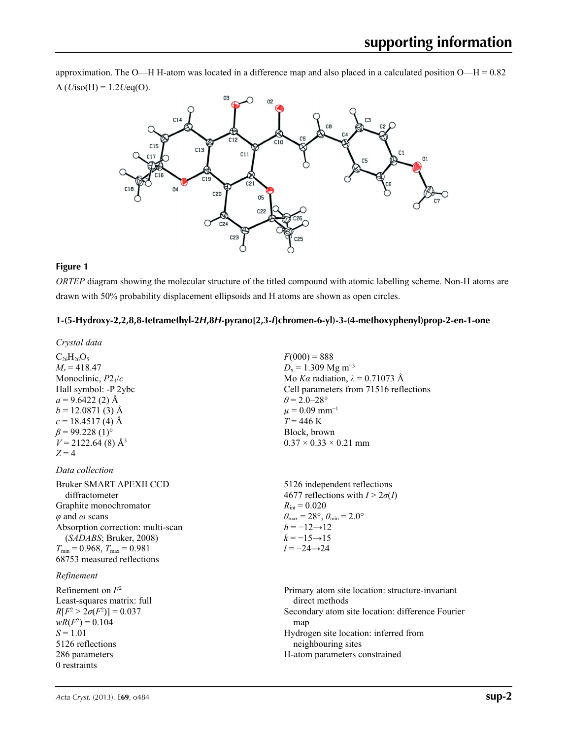approximation. The O—H H-atom was located in a difference map and also placed in a calculated position O—H = 0.82  $A (Uiso(H) = 1.2Ueq(O)).$ 



### **Figure 1**

*ORTEP* diagram showing the molecular structure of the titled compound with atomic labelling scheme. Non-H atoms are drawn with 50% probability displacement ellipsoids and H atoms are shown as open circles.

### **1-(5-Hydroxy-2,2,8,8-tetramethyl-2***H***,8***H***-pyrano[2,3-***f***]chromen-6-yl)-3-(4-methoxyphenyl)prop-2-en-1-one**

*Crystal data*  $C_{26}H_{26}O_5$  $M_r = 418.47$ Monoclinic, *P*21/*c* Hall symbol: -P 2ybc  $a = 9.6422(2)$  Å  $b = 12.0871(3)$  Å  $c = 18.4517(4)$  Å  $\beta$  = 99.228 (1)<sup>o</sup>  $V = 2122.64(8)$  Å<sup>3</sup>  $Z = 4$  $F(000) = 888$  $D_x = 1.309$  Mg m<sup>-3</sup> Mo *Kα* radiation,  $\lambda = 0.71073$  Å Cell parameters from 71516 reflections  $\theta$  = 2.0–28°  $\mu$  = 0.09 mm<sup>-1</sup>  $T = 446$  K Block, brown  $0.37 \times 0.33 \times 0.21$  mm *Data collection* Bruker SMART APEXII CCD diffractometer Graphite monochromator *φ* and *ω* scans Absorption correction: multi-scan (*SADABS*; Bruker, 2008)  $T_{\text{min}} = 0.968$ ,  $T_{\text{max}} = 0.981$ 68753 measured reflections 5126 independent reflections 4677 reflections with  $I > 2\sigma(I)$  $R_{\text{int}} = 0.020$  $\theta_{\text{max}} = 28^{\circ}, \theta_{\text{min}} = 2.0^{\circ}$  $h = -12 \rightarrow 12$  $k = -15 \rightarrow 15$ *l* = −24→24 *Refinement* Refinement on *F*<sup>2</sup> Least-squares matrix: full *R*[ $F^2 > 2\sigma(F^2)$ ] = 0.037  $wR(F^2) = 0.104$ *S* = 1.01 5126 reflections 286 parameters 0 restraints Primary atom site location: structure-invariant direct methods Secondary atom site location: difference Fourier map Hydrogen site location: inferred from neighbouring sites H-atom parameters constrained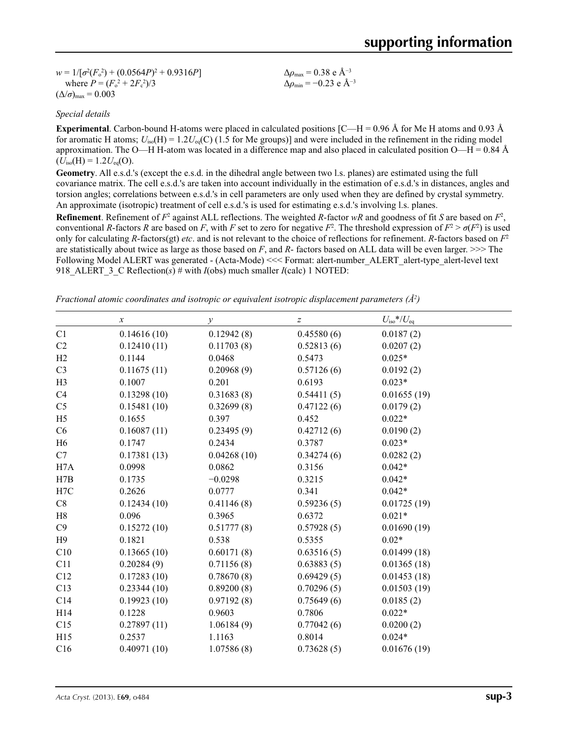$w = 1/[\sigma^2 (F_o^2) + (0.0564P)^2 + 0.9316P]$ where  $P = (F_o^2 + 2F_c^2)/3$  $(\Delta/\sigma)_{\text{max}} = 0.003$ 

Δ*ρ*max = 0.38 e Å−3  $\Delta\rho_{\text{min}} = -0.23$  e Å<sup>-3</sup>

*Special details*

**Experimental**. Carbon-bound H-atoms were placed in calculated positions [C—H = 0.96 Å for Me H atoms and 0.93 Å for aromatic H atoms;  $U_{iso}(H) = 1.2U_{eq}(C)$  (1.5 for Me groups)] and were included in the refinement in the riding model approximation. The O—H H-atom was located in a difference map and also placed in calculated position O—H =  $0.84 \text{ Å}$  $(U<sub>iso</sub>(H) = 1.2U<sub>eq</sub>(O)).$ 

**Geometry**. All e.s.d.'s (except the e.s.d. in the dihedral angle between two l.s. planes) are estimated using the full covariance matrix. The cell e.s.d.'s are taken into account individually in the estimation of e.s.d.'s in distances, angles and torsion angles; correlations between e.s.d.'s in cell parameters are only used when they are defined by crystal symmetry. An approximate (isotropic) treatment of cell e.s.d.'s is used for estimating e.s.d.'s involving l.s. planes.

**Refinement**. Refinement of  $F^2$  against ALL reflections. The weighted *R*-factor  $wR$  and goodness of fit *S* are based on  $F^2$ , conventional *R*-factors *R* are based on *F*, with *F* set to zero for negative  $F^2$ . The threshold expression of  $F^2 > \sigma(F^2)$  is used only for calculating *R*-factors(gt) *etc*. and is not relevant to the choice of reflections for refinement. *R*-factors based on *F*<sup>2</sup> are statistically about twice as large as those based on *F*, and *R*- factors based on ALL data will be even larger. >>> The Following Model ALERT was generated - (Acta-Mode) <<< Format: alert-number\_ALERT\_alert-type\_alert-level text 918 ALERT 3 C Reflection(s) # with *I*(obs) much smaller *I*(calc) 1 NOTED:

*Fractional atomic coordinates and isotropic or equivalent isotropic displacement parameters (Å<sup>2</sup>)* 

| $\boldsymbol{x}$ | $\mathcal{Y}$ | Z          | $U_{\rm iso}$ */ $U_{\rm eq}$ |  |
|------------------|---------------|------------|-------------------------------|--|
| 0.14616(10)      | 0.12942(8)    | 0.45580(6) | 0.0187(2)                     |  |
| 0.12410(11)      | 0.11703(8)    | 0.52813(6) | 0.0207(2)                     |  |
| 0.1144           | 0.0468        | 0.5473     | $0.025*$                      |  |
| 0.11675(11)      | 0.20968(9)    | 0.57126(6) | 0.0192(2)                     |  |
| 0.1007           | 0.201         | 0.6193     | $0.023*$                      |  |
| 0.13298(10)      | 0.31683(8)    | 0.54411(5) | 0.01655(19)                   |  |
| 0.15481(10)      | 0.32699(8)    | 0.47122(6) | 0.0179(2)                     |  |
| 0.1655           | 0.397         | 0.452      | $0.022*$                      |  |
| 0.16087(11)      | 0.23495(9)    | 0.42712(6) | 0.0190(2)                     |  |
| 0.1747           | 0.2434        | 0.3787     | $0.023*$                      |  |
| 0.17381(13)      | 0.04268(10)   | 0.34274(6) | 0.0282(2)                     |  |
| 0.0998           | 0.0862        | 0.3156     | $0.042*$                      |  |
| 0.1735           | $-0.0298$     | 0.3215     | $0.042*$                      |  |
| 0.2626           | 0.0777        | 0.341      | $0.042*$                      |  |
| 0.12434(10)      | 0.41146(8)    | 0.59236(5) | 0.01725(19)                   |  |
| 0.096            | 0.3965        | 0.6372     | $0.021*$                      |  |
| 0.15272(10)      | 0.51777(8)    | 0.57928(5) | 0.01690(19)                   |  |
| 0.1821           | 0.538         | 0.5355     | $0.02*$                       |  |
| 0.13665(10)      | 0.60171(8)    | 0.63516(5) | 0.01499(18)                   |  |
| 0.20284(9)       | 0.71156(8)    | 0.63883(5) | 0.01365(18)                   |  |
| 0.17283(10)      | 0.78670(8)    | 0.69429(5) | 0.01453(18)                   |  |
| 0.23344(10)      | 0.89200(8)    | 0.70296(5) | 0.01503(19)                   |  |
| 0.19923(10)      | 0.97192(8)    | 0.75649(6) | 0.0185(2)                     |  |
| 0.1228           | 0.9603        | 0.7806     | $0.022*$                      |  |
| 0.27897(11)      | 1.06184(9)    | 0.77042(6) | 0.0200(2)                     |  |
| 0.2537           | 1.1163        | 0.8014     | $0.024*$                      |  |
| 0.40971(10)      | 1.07586(8)    | 0.73628(5) | 0.01676(19)                   |  |
|                  |               |            |                               |  |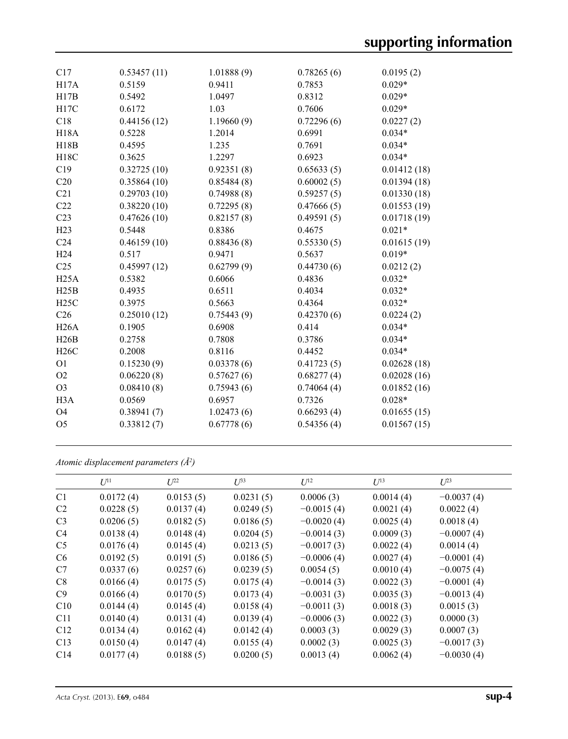| C17              | 0.53457(11) | 1.01888(9) | 0.78265(6) | 0.0195(2)   |
|------------------|-------------|------------|------------|-------------|
| H17A             | 0.5159      | 0.9411     | 0.7853     | $0.029*$    |
| H17B             | 0.5492      | 1.0497     | 0.8312     | $0.029*$    |
| H17C             | 0.6172      | 1.03       | 0.7606     | $0.029*$    |
| C18              | 0.44156(12) | 1.19660(9) | 0.72296(6) | 0.0227(2)   |
| <b>H18A</b>      | 0.5228      | 1.2014     | 0.6991     | $0.034*$    |
| H18B             | 0.4595      | 1.235      | 0.7691     | $0.034*$    |
| H18C             | 0.3625      | 1.2297     | 0.6923     | $0.034*$    |
| C19              | 0.32725(10) | 0.92351(8) | 0.65633(5) | 0.01412(18) |
| C20              | 0.35864(10) | 0.85484(8) | 0.60002(5) | 0.01394(18) |
| C21              | 0.29703(10) | 0.74988(8) | 0.59257(5) | 0.01330(18) |
| C22              | 0.38220(10) | 0.72295(8) | 0.47666(5) | 0.01553(19) |
| C <sub>23</sub>  | 0.47626(10) | 0.82157(8) | 0.49591(5) | 0.01718(19) |
| H23              | 0.5448      | 0.8386     | 0.4675     | $0.021*$    |
| C <sub>24</sub>  | 0.46159(10) | 0.88436(8) | 0.55330(5) | 0.01615(19) |
| H <sub>24</sub>  | 0.517       | 0.9471     | 0.5637     | $0.019*$    |
| C <sub>25</sub>  | 0.45997(12) | 0.62799(9) | 0.44730(6) | 0.0212(2)   |
| H25A             | 0.5382      | 0.6066     | 0.4836     | $0.032*$    |
| H25B             | 0.4935      | 0.6511     | 0.4034     | $0.032*$    |
| H25C             | 0.3975      | 0.5663     | 0.4364     | $0.032*$    |
| C <sub>26</sub>  | 0.25010(12) | 0.75443(9) | 0.42370(6) | 0.0224(2)   |
| H26A             | 0.1905      | 0.6908     | 0.414      | $0.034*$    |
| H26B             | 0.2758      | 0.7808     | 0.3786     | $0.034*$    |
| H26C             | 0.2008      | 0.8116     | 0.4452     | $0.034*$    |
| O <sub>1</sub>   | 0.15230(9)  | 0.03378(6) | 0.41723(5) | 0.02628(18) |
| O2               | 0.06220(8)  | 0.57627(6) | 0.68277(4) | 0.02028(16) |
| O <sub>3</sub>   | 0.08410(8)  | 0.75943(6) | 0.74064(4) | 0.01852(16) |
| H <sub>3</sub> A | 0.0569      | 0.6957     | 0.7326     | $0.028*$    |
| O <sub>4</sub>   | 0.38941(7)  | 1.02473(6) | 0.66293(4) | 0.01655(15) |
| O <sub>5</sub>   | 0.33812(7)  | 0.67778(6) | 0.54356(4) | 0.01567(15) |
|                  |             |            |            |             |

*Atomic displacement parameters (Å2 )*

|                 | $U^{11}$  | $L^{22}$  | $U^{33}$  | $U^{12}$     | $U^{13}$  | $U^{23}$     |
|-----------------|-----------|-----------|-----------|--------------|-----------|--------------|
|                 |           |           |           |              |           |              |
| C <sub>1</sub>  | 0.0172(4) | 0.0153(5) | 0.0231(5) | 0.0006(3)    | 0.0014(4) | $-0.0037(4)$ |
| C <sub>2</sub>  | 0.0228(5) | 0.0137(4) | 0.0249(5) | $-0.0015(4)$ | 0.0021(4) | 0.0022(4)    |
| C <sub>3</sub>  | 0.0206(5) | 0.0182(5) | 0.0186(5) | $-0.0020(4)$ | 0.0025(4) | 0.0018(4)    |
| C4              | 0.0138(4) | 0.0148(4) | 0.0204(5) | $-0.0014(3)$ | 0.0009(3) | $-0.0007(4)$ |
| C <sub>5</sub>  | 0.0176(4) | 0.0145(4) | 0.0213(5) | $-0.0017(3)$ | 0.0022(4) | 0.0014(4)    |
| C <sub>6</sub>  | 0.0192(5) | 0.0191(5) | 0.0186(5) | $-0.0006(4)$ | 0.0027(4) | $-0.0001(4)$ |
| C7              | 0.0337(6) | 0.0257(6) | 0.0239(5) | 0.0054(5)    | 0.0010(4) | $-0.0075(4)$ |
| C8              | 0.0166(4) | 0.0175(5) | 0.0175(4) | $-0.0014(3)$ | 0.0022(3) | $-0.0001(4)$ |
| C <sub>9</sub>  | 0.0166(4) | 0.0170(5) | 0.0173(4) | $-0.0031(3)$ | 0.0035(3) | $-0.0013(4)$ |
| C10             | 0.0144(4) | 0.0145(4) | 0.0158(4) | $-0.0011(3)$ | 0.0018(3) | 0.0015(3)    |
| C <sub>11</sub> | 0.0140(4) | 0.0131(4) | 0.0139(4) | $-0.0006(3)$ | 0.0022(3) | 0.0000(3)    |
| C12             | 0.0134(4) | 0.0162(4) | 0.0142(4) | 0.0003(3)    | 0.0029(3) | 0.0007(3)    |
| C13             | 0.0150(4) | 0.0147(4) | 0.0155(4) | 0.0002(3)    | 0.0025(3) | $-0.0017(3)$ |
| C <sub>14</sub> | 0.0177(4) | 0.0188(5) | 0.0200(5) | 0.0013(4)    | 0.0062(4) | $-0.0030(4)$ |
|                 |           |           |           |              |           |              |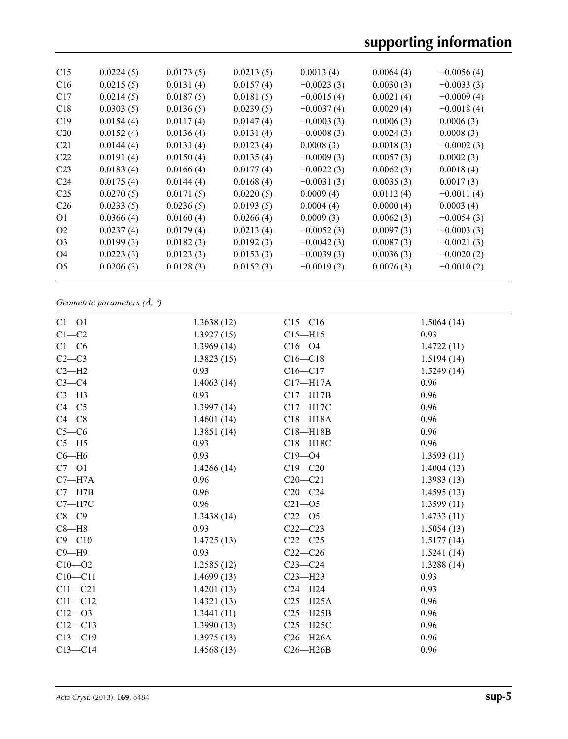| C15             | 0.0224(5) | 0.0173(5) | 0.0213(5) | 0.0013(4)    | 0.0064(4) | $-0.0056(4)$ |
|-----------------|-----------|-----------|-----------|--------------|-----------|--------------|
| C16             | 0.0215(5) | 0.0131(4) | 0.0157(4) | $-0.0023(3)$ | 0.0030(3) | $-0.0033(3)$ |
| C17             | 0.0214(5) | 0.0187(5) | 0.0181(5) | $-0.0015(4)$ | 0.0021(4) | $-0.0009(4)$ |
| C18             | 0.0303(5) | 0.0136(5) | 0.0239(5) | $-0.0037(4)$ | 0.0029(4) | $-0.0018(4)$ |
| C19             | 0.0154(4) | 0.0117(4) | 0.0147(4) | $-0.0003(3)$ | 0.0006(3) | 0.0006(3)    |
| C <sub>20</sub> | 0.0152(4) | 0.0136(4) | 0.0131(4) | $-0.0008(3)$ | 0.0024(3) | 0.0008(3)    |
| C <sub>21</sub> | 0.0144(4) | 0.0131(4) | 0.0123(4) | 0.0008(3)    | 0.0018(3) | $-0.0002(3)$ |
| C <sub>22</sub> | 0.0191(4) | 0.0150(4) | 0.0135(4) | $-0.0009(3)$ | 0.0057(3) | 0.0002(3)    |
| C <sub>23</sub> | 0.0183(4) | 0.0166(4) | 0.0177(4) | $-0.0022(3)$ | 0.0062(3) | 0.0018(4)    |
| C <sub>24</sub> | 0.0175(4) | 0.0144(4) | 0.0168(4) | $-0.0031(3)$ | 0.0035(3) | 0.0017(3)    |
| C <sub>25</sub> | 0.0270(5) | 0.0171(5) | 0.0220(5) | 0.0009(4)    | 0.0112(4) | $-0.0011(4)$ |
| C <sub>26</sub> | 0.0233(5) | 0.0236(5) | 0.0193(5) | 0.0004(4)    | 0.0000(4) | 0.0003(4)    |
| O <sub>1</sub>  | 0.0366(4) | 0.0160(4) | 0.0266(4) | 0.0009(3)    | 0.0062(3) | $-0.0054(3)$ |
| O <sub>2</sub>  | 0.0237(4) | 0.0179(4) | 0.0213(4) | $-0.0052(3)$ | 0.0097(3) | $-0.0003(3)$ |
| O <sub>3</sub>  | 0.0199(3) | 0.0182(3) | 0.0192(3) | $-0.0042(3)$ | 0.0087(3) | $-0.0021(3)$ |
| O4              | 0.0223(3) | 0.0123(3) | 0.0153(3) | $-0.0039(3)$ | 0.0036(3) | $-0.0020(2)$ |
| O <sub>5</sub>  | 0.0206(3) | 0.0128(3) | 0.0152(3) | $-0.0019(2)$ | 0.0076(3) | $-0.0010(2)$ |
|                 |           |           |           |              |           |              |

*Geometric parameters (Å, º)*

| $Cl - O1$   | 1.3638(12) | $C15 - C16$  | 1.5064(14) |
|-------------|------------|--------------|------------|
| $C1 - C2$   | 1.3927(15) | $C15 - H15$  | 0.93       |
| $C1 - C6$   | 1.3969(14) | $C16 - 04$   | 1.4722(11) |
| $C2-C3$     | 1.3823(15) | $C16 - C18$  | 1.5194(14) |
| $C2-H2$     | 0.93       | $C16 - C17$  | 1.5249(14) |
| $C3-C4$     | 1.4063(14) | $C17 - H17A$ | 0.96       |
| $C3-H3$     | 0.93       | $C17 - H17B$ | 0.96       |
| $C4 - C5$   | 1.3997(14) | C17-H17C     | 0.96       |
| $C4 - C8$   | 1.4601(14) | $C18 - H18A$ | 0.96       |
| $C5-C6$     | 1.3851(14) | $C18 - H18B$ | 0.96       |
| $C5 - H5$   | 0.93       | $C18 - H18C$ | 0.96       |
| $C6 - H6$   | 0.93       | $C19 - 04$   | 1.3593(11) |
| $C7 - O1$   | 1.4266(14) | $C19 - C20$  | 1.4004(13) |
| $C7 - H7A$  | 0.96       | $C20 - C21$  | 1.3983(13) |
| $C7 - H7B$  | 0.96       | $C20-C24$    | 1.4595(13) |
| $C7 - H7C$  | 0.96       | $C21 - 05$   | 1.3599(11) |
| $C8-C9$     | 1.3438(14) | $C22 - 05$   | 1.4733(11) |
| $C8 - H8$   | 0.93       | $C22-C23$    | 1.5054(13) |
| $C9 - C10$  | 1.4725(13) | $C22-C25$    | 1.5177(14) |
| $C9 - H9$   | 0.93       | $C22-C26$    | 1.5241(14) |
| $C10 - 02$  | 1.2585(12) | $C23-C24$    | 1.3288(14) |
| $C10 - C11$ | 1.4699(13) | $C23 - H23$  | 0.93       |
| $C11 - C21$ | 1.4201(13) | $C24 - H24$  | 0.93       |
| $C11 - C12$ | 1.4321(13) | $C25 - H25A$ | 0.96       |
| $C12 - 03$  | 1.3441(11) | $C25 - H25B$ | 0.96       |
| $C12 - C13$ | 1.3990(13) | $C25 - H25C$ | 0.96       |
| $C13 - C19$ | 1.3975(13) | $C26 - H26A$ | 0.96       |
| $C13-C14$   | 1.4568(13) | $C26 - H26B$ | 0.96       |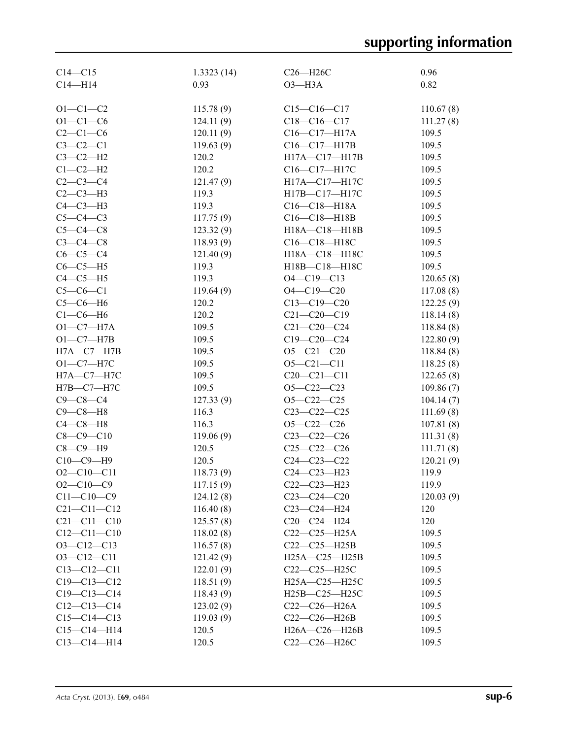| $C14 - C15$       | 1.3323(14) | $C26 - H26C$        | 0.96      |
|-------------------|------------|---------------------|-----------|
| $C14 - H14$       | 0.93       | $O3 - H3A$          | 0.82      |
|                   |            |                     |           |
| $O1 - C1 - C2$    | 115.78(9)  | $C15-C16-C17$       | 110.67(8) |
| $O1 - C1 - C6$    | 124.11(9)  | $C18-C16-C17$       | 111.27(8) |
| $C2-C1-C6$        | 120.11(9)  | $C16 - C17 - H17A$  | 109.5     |
| $C3-C2-C1$        | 119.63(9)  | C16-C17-H17B        | 109.5     |
| $C3-C2-H2$        | 120.2      | H17A-C17-H17B       | 109.5     |
| $C1-C2-H2$        | 120.2      | C16-C17-H17C        | 109.5     |
| $C2-C3-C4$        | 121.47(9)  | H17A-C17-H17C       | 109.5     |
| $C2-C3-H3$        | 119.3      | H17B-C17-H17C       | 109.5     |
| $C4-C3-H3$        | 119.3      | $C16-C18-H18A$      | 109.5     |
| $C5-C4-C3$        | 117.75(9)  | C16-C18-H18B        | 109.5     |
| $C5-C4-C8$        | 123.32(9)  | H18A-C18-H18B       | 109.5     |
| $C3-C4-C8$        | 118.93(9)  | C16-C18-H18C        | 109.5     |
| $C6-C5-C4$        | 121.40(9)  | H18A-C18-H18C       | 109.5     |
| $C6-C5-H5$        | 119.3      | H18B-C18-H18C       | 109.5     |
| $C4-C5-H5$        | 119.3      | $O4 - C19 - C13$    | 120.65(8) |
| $C5-C6-C1$        | 119.64(9)  | $O4 - C19 - C20$    | 117.08(8) |
| $C5-C6-H6$        | 120.2      | $C13 - C19 - C20$   | 122.25(9) |
| $C1-C6-H6$        | 120.2      | $C21 - C20 - C19$   | 118.14(8) |
| $O1 - C7 - H7A$   | 109.5      | $C21 - C20 - C24$   | 118.84(8) |
| $O1 - C7 - H7B$   | 109.5      | $C19 - C20 - C24$   | 122.80(9) |
| $H7A - C7 - H7B$  | 109.5      | $O5 - C21 - C20$    |           |
| $O1 - C7 - H7C$   | 109.5      | $O5 - C21 - C11$    | 118.84(8) |
|                   | 109.5      |                     | 118.25(8) |
| $H7A - C7 - H7C$  |            | $C20 - C21 - C11$   | 122.65(8) |
| H7B-C7-H7C        | 109.5      | $O5-C22-C23$        | 109.86(7) |
| $C9 - C8 - C4$    | 127.33(9)  | $O5 - C22 - C25$    | 104.14(7) |
| $C9-C8-H8$        | 116.3      | $C23-C22-C25$       | 111.69(8) |
| $C4-C8-H8$        | 116.3      | $O5 - C22 - C26$    | 107.81(8) |
| $C8 - C9 - C10$   | 119.06(9)  | $C23-C22-C26$       | 111.31(8) |
| $C8-C9-H9$        | 120.5      | $C25-C22-C26$       | 111.71(8) |
| $C10-C9-H9$       | 120.5      | $C24 - C23 - C22$   | 120.21(9) |
| $O2 - C10 - C11$  | 118.73(9)  | $C24 - C23 - H23$   | 119.9     |
| $O2-C10-C9$       | 117.15(9)  | $C22-C23-H23$       | 119.9     |
| $C11 - C10 - C9$  | 124.12(8)  | $C23-C24-C20$       | 120.03(9) |
| $C21 - C11 - C12$ | 116.40(8)  | C23-C24-H24         | 120       |
| $C21 - C11 - C10$ | 125.57(8)  | $C20-C24-H24$       | 120       |
| $C12 - C11 - C10$ | 118.02(8)  | $C22-C25-H25A$      | 109.5     |
| $O3 - Cl2 - Cl3$  | 116.57(8)  | $C22-C25-H25B$      | 109.5     |
| $O3 - Cl2 - Cl1$  | 121.42(9)  | $H25A - C25 - H25B$ | 109.5     |
| $C13 - C12 - C11$ | 122.01(9)  | $C22-C25-H25C$      | 109.5     |
| $C19 - C13 - C12$ | 118.51(9)  | $H25A - C25 - H25C$ | 109.5     |
| $C19 - C13 - C14$ | 118.43(9)  | H25B-C25-H25C       | 109.5     |
| $C12-C13-C14$     | 123.02(9)  | $C22-C26-H26A$      | 109.5     |
| $C15-C14-C13$     | 119.03(9)  | C22-C26-H26B        | 109.5     |
| $C15-C14-H14$     | 120.5      | H26A-C26-H26B       | 109.5     |
| $C13 - C14 - H14$ | 120.5      | C22-C26-H26C        | 109.5     |